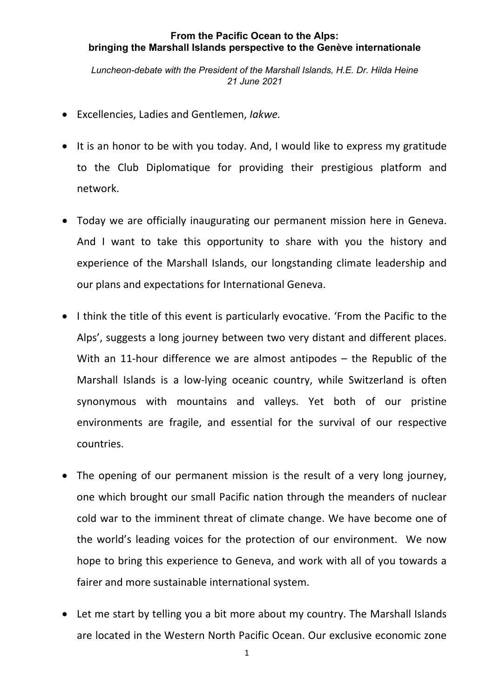## **From the Pacific Ocean to the Alps: bringing the Marshall Islands perspective to the Genève internationale**

*Luncheon-debate with the President of the Marshall Islands, H.E. Dr. Hilda Heine 21 June 2021*

- Excellencies, Ladies and Gentlemen, *Iakwe.*
- It is an honor to be with you today. And, I would like to express my gratitude to the Club Diplomatique for providing their prestigious platform and network.
- Today we are officially inaugurating our permanent mission here in Geneva. And I want to take this opportunity to share with you the history and experience of the Marshall Islands, our longstanding climate leadership and our plans and expectations for International Geneva.
- I think the title of this event is particularly evocative. 'From the Pacific to the Alps', suggests a long journey between two very distant and different places. With an 11-hour difference we are almost antipodes – the Republic of the Marshall Islands is a low‐lying oceanic country, while Switzerland is often synonymous with mountains and valleys. Yet both of our pristine environments are fragile, and essential for the survival of our respective countries.
- The opening of our permanent mission is the result of a very long journey, one which brought our small Pacific nation through the meanders of nuclear cold war to the imminent threat of climate change. We have become one of the world's leading voices for the protection of our environment. We now hope to bring this experience to Geneva, and work with all of you towards a fairer and more sustainable international system.
- Let me start by telling you a bit more about my country. The Marshall Islands are located in the Western North Pacific Ocean. Our exclusive economic zone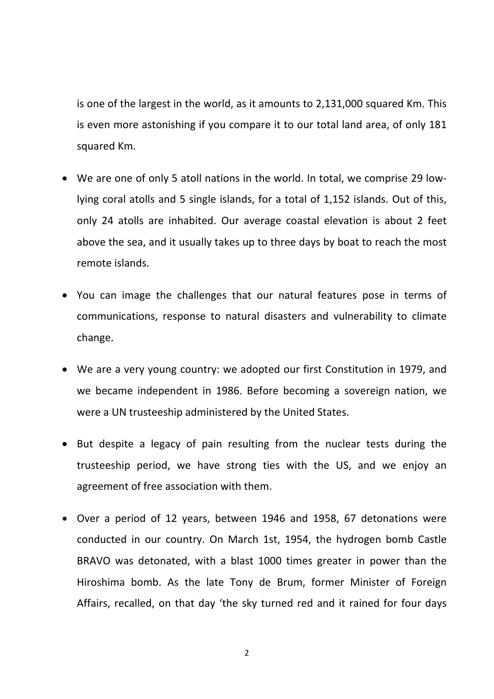is one of the largest in the world, as it amounts to 2,131,000 squared Km. This is even more astonishing if you compare it to our total land area, of only 181 squared Km.

- We are one of only 5 atoll nations in the world. In total, we comprise 29 lowlying coral atolls and 5 single islands, for a total of 1,152 islands. Out of this, only 24 atolls are inhabited. Our average coastal elevation is about 2 feet above the sea, and it usually takes up to three days by boat to reach the most remote islands.
- You can image the challenges that our natural features pose in terms of communications, response to natural disasters and vulnerability to climate change.
- We are a very young country: we adopted our first Constitution in 1979, and we became independent in 1986. Before becoming a sovereign nation, we were a UN trusteeship administered by the United States.
- But despite a legacy of pain resulting from the nuclear tests during the trusteeship period, we have strong ties with the US, and we enjoy an agreement of free association with them.
- Over a period of 12 years, between 1946 and 1958, 67 detonations were conducted in our country. On March 1st, 1954, the hydrogen bomb Castle BRAVO was detonated, with a blast 1000 times greater in power than the Hiroshima bomb. As the late Tony de Brum, former Minister of Foreign Affairs, recalled, on that day 'the sky turned red and it rained for four days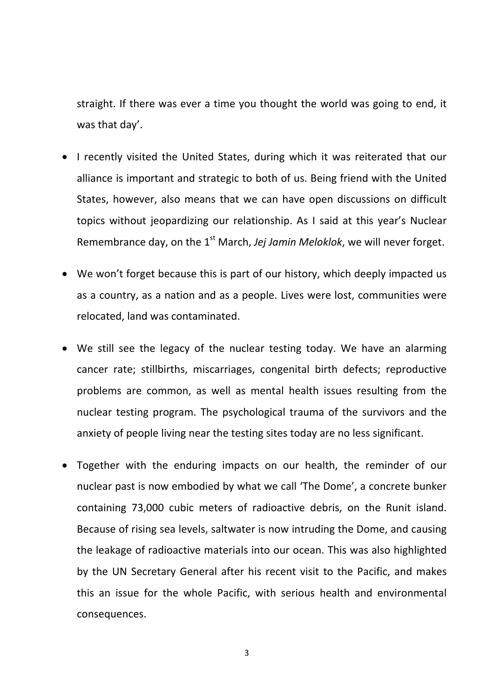straight. If there was ever a time you thought the world was going to end, it was that day'.

- I recently visited the United States, during which it was reiterated that our alliance is important and strategic to both of us. Being friend with the United States, however, also means that we can have open discussions on difficult topics without jeopardizing our relationship. As I said at this year's Nuclear Remembrance day, on the 1st March, *Jej Jamin Meloklok*, we will never forget.
- We won't forget because this is part of our history, which deeply impacted us as a country, as a nation and as a people. Lives were lost, communities were relocated, land was contaminated.
- We still see the legacy of the nuclear testing today. We have an alarming cancer rate; stillbirths, miscarriages, congenital birth defects; reproductive problems are common, as well as mental health issues resulting from the nuclear testing program. The psychological trauma of the survivors and the anxiety of people living near the testing sites today are no less significant.
- Together with the enduring impacts on our health, the reminder of our nuclear past is now embodied by what we call 'The Dome', a concrete bunker containing 73,000 cubic meters of radioactive debris, on the Runit island. Because of rising sea levels, saltwater is now intruding the Dome, and causing the leakage of radioactive materials into our ocean. This was also highlighted by the UN Secretary General after his recent visit to the Pacific, and makes this an issue for the whole Pacific, with serious health and environmental consequences.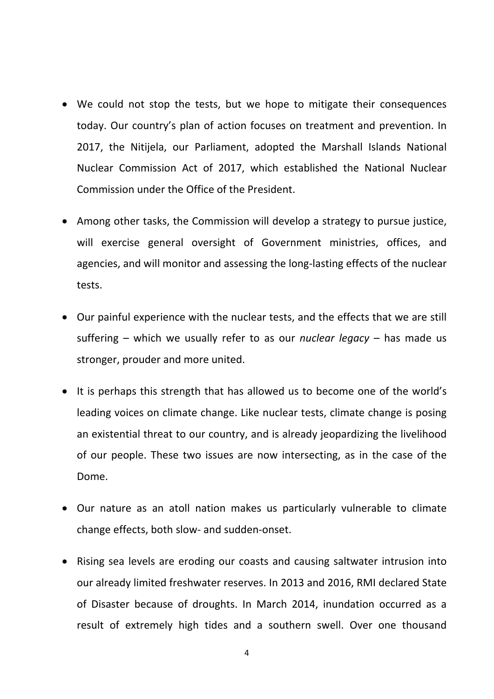- We could not stop the tests, but we hope to mitigate their consequences today. Our country's plan of action focuses on treatment and prevention. In 2017, the Nitijela, our Parliament, adopted the Marshall Islands National Nuclear Commission Act of 2017, which established the National Nuclear Commission under the Office of the President.
- Among other tasks, the Commission will develop a strategy to pursue justice, will exercise general oversight of Government ministries, offices, and agencies, and will monitor and assessing the long‐lasting effects of the nuclear tests.
- Our painful experience with the nuclear tests, and the effects that we are still suffering – which we usually refer to as our *nuclear legacy* – has made us stronger, prouder and more united.
- It is perhaps this strength that has allowed us to become one of the world's leading voices on climate change. Like nuclear tests, climate change is posing an existential threat to our country, and is already jeopardizing the livelihood of our people. These two issues are now intersecting, as in the case of the Dome.
- Our nature as an atoll nation makes us particularly vulnerable to climate change effects, both slow‐ and sudden‐onset.
- Rising sea levels are eroding our coasts and causing saltwater intrusion into our already limited freshwater reserves. In 2013 and 2016, RMI declared State of Disaster because of droughts. In March 2014, inundation occurred as a result of extremely high tides and a southern swell. Over one thousand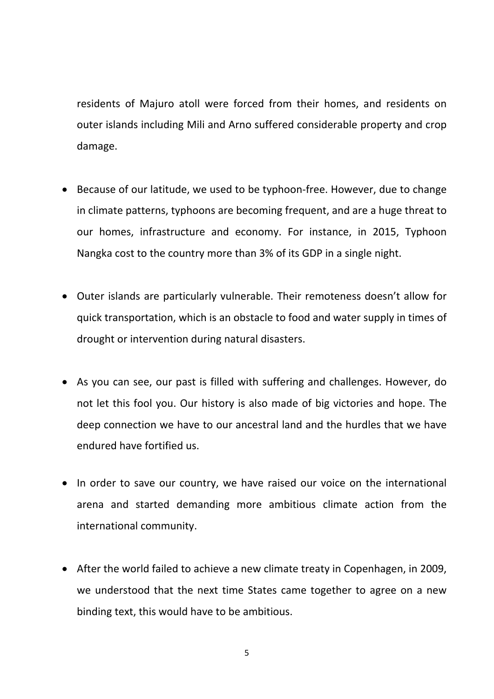residents of Majuro atoll were forced from their homes, and residents on outer islands including Mili and Arno suffered considerable property and crop damage.

- Because of our latitude, we used to be typhoon-free. However, due to change in climate patterns, typhoons are becoming frequent, and are a huge threat to our homes, infrastructure and economy. For instance, in 2015, Typhoon Nangka cost to the country more than 3% of its GDP in a single night.
- Outer islands are particularly vulnerable. Their remoteness doesn't allow for quick transportation, which is an obstacle to food and water supply in times of drought or intervention during natural disasters.
- As you can see, our past is filled with suffering and challenges. However, do not let this fool you. Our history is also made of big victories and hope. The deep connection we have to our ancestral land and the hurdles that we have endured have fortified us.
- In order to save our country, we have raised our voice on the international arena and started demanding more ambitious climate action from the international community.
- After the world failed to achieve a new climate treaty in Copenhagen, in 2009, we understood that the next time States came together to agree on a new binding text, this would have to be ambitious.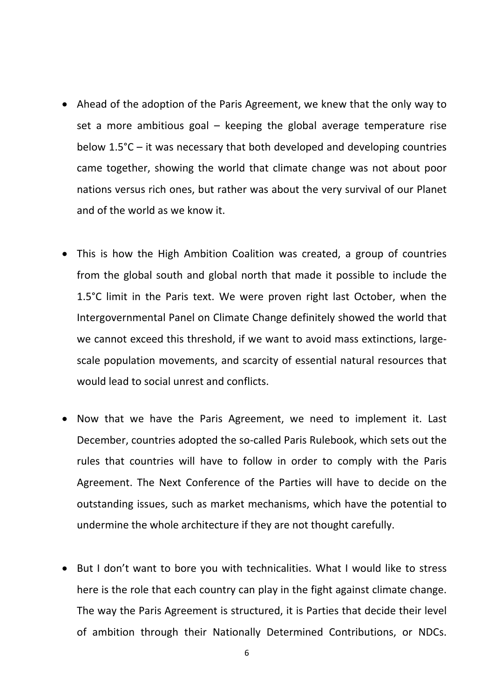- Ahead of the adoption of the Paris Agreement, we knew that the only way to set a more ambitious goal – keeping the global average temperature rise below 1.5°C – it was necessary that both developed and developing countries came together, showing the world that climate change was not about poor nations versus rich ones, but rather was about the very survival of our Planet and of the world as we know it.
- This is how the High Ambition Coalition was created, a group of countries from the global south and global north that made it possible to include the 1.5°C limit in the Paris text. We were proven right last October, when the Intergovernmental Panel on Climate Change definitely showed the world that we cannot exceed this threshold, if we want to avoid mass extinctions, largescale population movements, and scarcity of essential natural resources that would lead to social unrest and conflicts.
- Now that we have the Paris Agreement, we need to implement it. Last December, countries adopted the so-called Paris Rulebook, which sets out the rules that countries will have to follow in order to comply with the Paris Agreement. The Next Conference of the Parties will have to decide on the outstanding issues, such as market mechanisms, which have the potential to undermine the whole architecture if they are not thought carefully.
- But I don't want to bore you with technicalities. What I would like to stress here is the role that each country can play in the fight against climate change. The way the Paris Agreement is structured, it is Parties that decide their level of ambition through their Nationally Determined Contributions, or NDCs.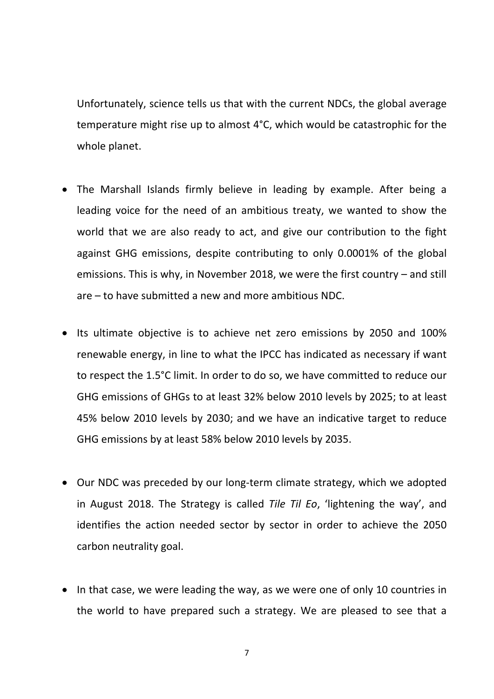Unfortunately, science tells us that with the current NDCs, the global average temperature might rise up to almost 4°C, which would be catastrophic for the whole planet.

- The Marshall Islands firmly believe in leading by example. After being a leading voice for the need of an ambitious treaty, we wanted to show the world that we are also ready to act, and give our contribution to the fight against GHG emissions, despite contributing to only 0.0001% of the global emissions. This is why, in November 2018, we were the first country – and still are – to have submitted a new and more ambitious NDC.
- Its ultimate objective is to achieve net zero emissions by 2050 and 100% renewable energy, in line to what the IPCC has indicated as necessary if want to respect the 1.5°C limit. In order to do so, we have committed to reduce our GHG emissions of GHGs to at least 32% below 2010 levels by 2025; to at least 45% below 2010 levels by 2030; and we have an indicative target to reduce GHG emissions by at least 58% below 2010 levels by 2035.
- Our NDC was preceded by our long-term climate strategy, which we adopted in August 2018. The Strategy is called *Tile Til Eo*, 'lightening the way', and identifies the action needed sector by sector in order to achieve the 2050 carbon neutrality goal.
- In that case, we were leading the way, as we were one of only 10 countries in the world to have prepared such a strategy. We are pleased to see that a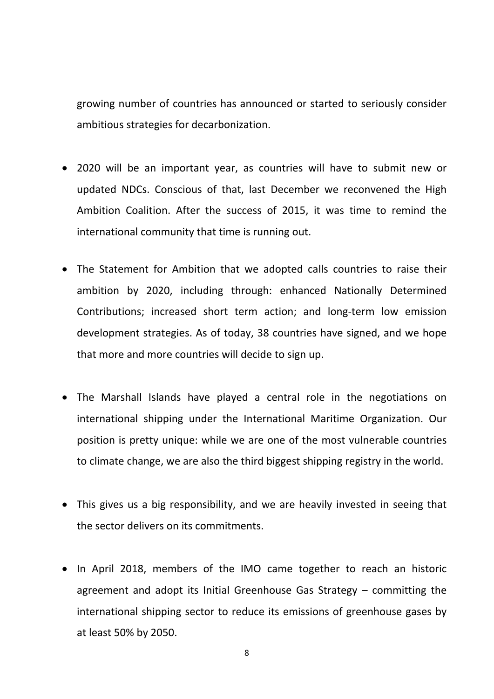growing number of countries has announced or started to seriously consider ambitious strategies for decarbonization.

- 2020 will be an important year, as countries will have to submit new or updated NDCs. Conscious of that, last December we reconvened the High Ambition Coalition. After the success of 2015, it was time to remind the international community that time is running out.
- The Statement for Ambition that we adopted calls countries to raise their ambition by 2020, including through: enhanced Nationally Determined Contributions; increased short term action; and long‐term low emission development strategies. As of today, 38 countries have signed, and we hope that more and more countries will decide to sign up.
- The Marshall Islands have played a central role in the negotiations on international shipping under the International Maritime Organization. Our position is pretty unique: while we are one of the most vulnerable countries to climate change, we are also the third biggest shipping registry in the world.
- This gives us a big responsibility, and we are heavily invested in seeing that the sector delivers on its commitments.
- In April 2018, members of the IMO came together to reach an historic agreement and adopt its Initial Greenhouse Gas Strategy – committing the international shipping sector to reduce its emissions of greenhouse gases by at least 50% by 2050.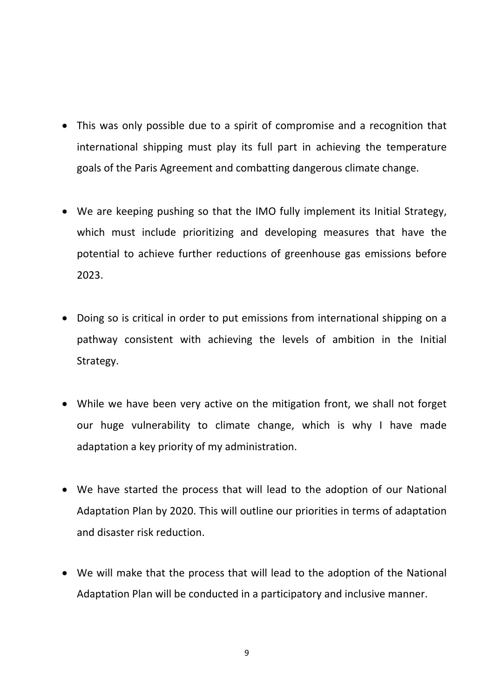- This was only possible due to a spirit of compromise and a recognition that international shipping must play its full part in achieving the temperature goals of the Paris Agreement and combatting dangerous climate change.
- We are keeping pushing so that the IMO fully implement its Initial Strategy, which must include prioritizing and developing measures that have the potential to achieve further reductions of greenhouse gas emissions before 2023.
- Doing so is critical in order to put emissions from international shipping on a pathway consistent with achieving the levels of ambition in the Initial Strategy.
- While we have been very active on the mitigation front, we shall not forget our huge vulnerability to climate change, which is why I have made adaptation a key priority of my administration.
- We have started the process that will lead to the adoption of our National Adaptation Plan by 2020. This will outline our priorities in terms of adaptation and disaster risk reduction.
- We will make that the process that will lead to the adoption of the National Adaptation Plan will be conducted in a participatory and inclusive manner.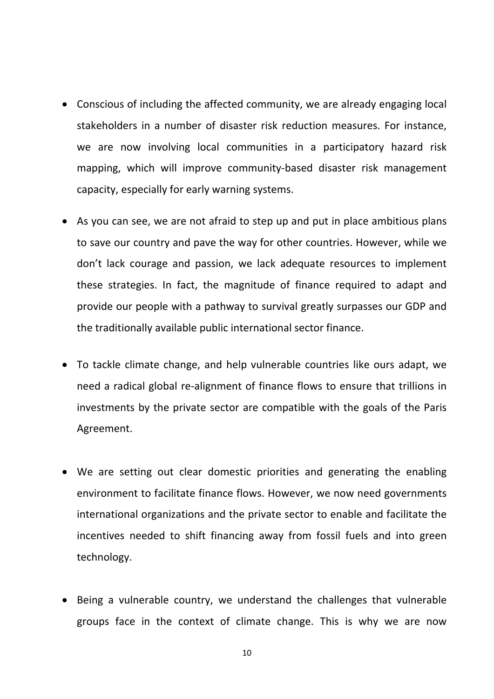- Conscious of including the affected community, we are already engaging local stakeholders in a number of disaster risk reduction measures. For instance, we are now involving local communities in a participatory hazard risk mapping, which will improve community‐based disaster risk management capacity, especially for early warning systems.
- As you can see, we are not afraid to step up and put in place ambitious plans to save our country and pave the way for other countries. However, while we don't lack courage and passion, we lack adequate resources to implement these strategies. In fact, the magnitude of finance required to adapt and provide our people with a pathway to survival greatly surpasses our GDP and the traditionally available public international sector finance.
- To tackle climate change, and help vulnerable countries like ours adapt, we need a radical global re‐alignment of finance flows to ensure that trillions in investments by the private sector are compatible with the goals of the Paris Agreement.
- We are setting out clear domestic priorities and generating the enabling environment to facilitate finance flows. However, we now need governments international organizations and the private sector to enable and facilitate the incentives needed to shift financing away from fossil fuels and into green technology.
- Being a vulnerable country, we understand the challenges that vulnerable groups face in the context of climate change. This is why we are now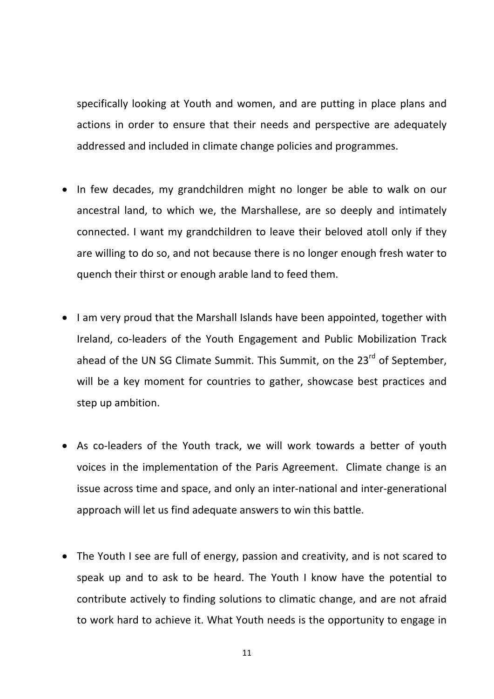specifically looking at Youth and women, and are putting in place plans and actions in order to ensure that their needs and perspective are adequately addressed and included in climate change policies and programmes.

- In few decades, my grandchildren might no longer be able to walk on our ancestral land, to which we, the Marshallese, are so deeply and intimately connected. I want my grandchildren to leave their beloved atoll only if they are willing to do so, and not because there is no longer enough fresh water to quench their thirst or enough arable land to feed them.
- I am very proud that the Marshall Islands have been appointed, together with Ireland, co-leaders of the Youth Engagement and Public Mobilization Track ahead of the UN SG Climate Summit. This Summit, on the 23<sup>rd</sup> of September, will be a key moment for countries to gather, showcase best practices and step up ambition.
- As co-leaders of the Youth track, we will work towards a better of youth voices in the implementation of the Paris Agreement. Climate change is an issue across time and space, and only an inter‐national and inter‐generational approach will let us find adequate answers to win this battle.
- The Youth I see are full of energy, passion and creativity, and is not scared to speak up and to ask to be heard. The Youth I know have the potential to contribute actively to finding solutions to climatic change, and are not afraid to work hard to achieve it. What Youth needs is the opportunity to engage in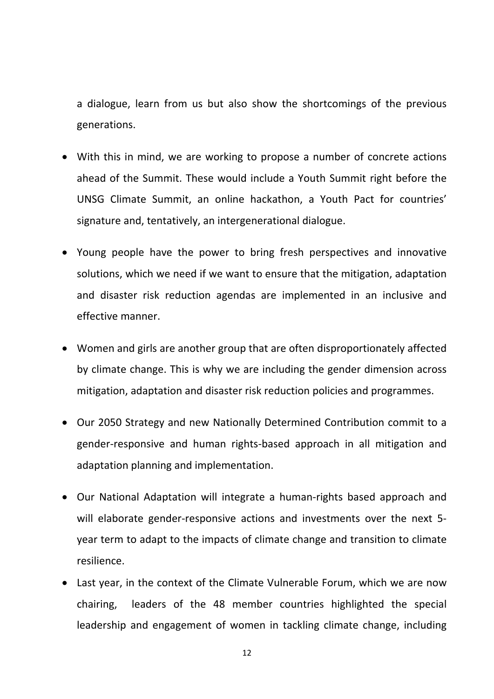a dialogue, learn from us but also show the shortcomings of the previous generations.

- With this in mind, we are working to propose a number of concrete actions ahead of the Summit. These would include a Youth Summit right before the UNSG Climate Summit, an online hackathon, a Youth Pact for countries' signature and, tentatively, an intergenerational dialogue.
- Young people have the power to bring fresh perspectives and innovative solutions, which we need if we want to ensure that the mitigation, adaptation and disaster risk reduction agendas are implemented in an inclusive and effective manner.
- Women and girls are another group that are often disproportionately affected by climate change. This is why we are including the gender dimension across mitigation, adaptation and disaster risk reduction policies and programmes.
- Our 2050 Strategy and new Nationally Determined Contribution commit to a gender‐responsive and human rights‐based approach in all mitigation and adaptation planning and implementation.
- Our National Adaptation will integrate a human‐rights based approach and will elaborate gender-responsive actions and investments over the next 5year term to adapt to the impacts of climate change and transition to climate resilience.
- Last year, in the context of the Climate Vulnerable Forum, which we are now chairing, leaders of the 48 member countries highlighted the special leadership and engagement of women in tackling climate change, including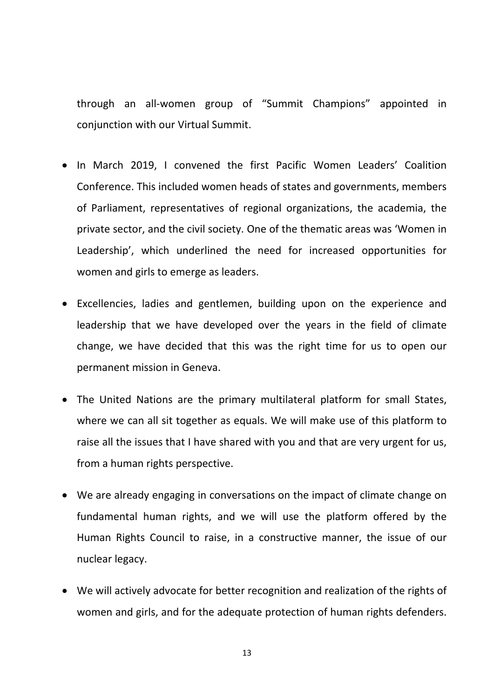through an all‐women group of "Summit Champions" appointed in conjunction with our Virtual Summit.

- In March 2019, I convened the first Pacific Women Leaders' Coalition Conference. This included women heads of states and governments, members of Parliament, representatives of regional organizations, the academia, the private sector, and the civil society. One of the thematic areas was 'Women in Leadership', which underlined the need for increased opportunities for women and girls to emerge as leaders.
- Excellencies, ladies and gentlemen, building upon on the experience and leadership that we have developed over the years in the field of climate change, we have decided that this was the right time for us to open our permanent mission in Geneva.
- The United Nations are the primary multilateral platform for small States, where we can all sit together as equals. We will make use of this platform to raise all the issues that I have shared with you and that are very urgent for us, from a human rights perspective.
- We are already engaging in conversations on the impact of climate change on fundamental human rights, and we will use the platform offered by the Human Rights Council to raise, in a constructive manner, the issue of our nuclear legacy.
- We will actively advocate for better recognition and realization of the rights of women and girls, and for the adequate protection of human rights defenders.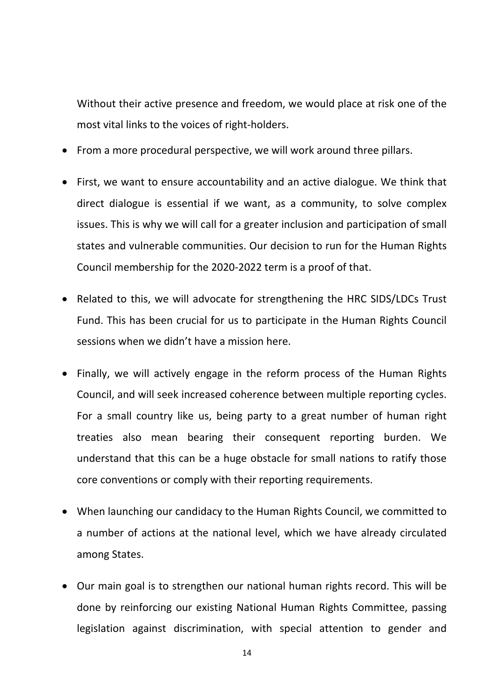Without their active presence and freedom, we would place at risk one of the most vital links to the voices of right‐holders.

- From a more procedural perspective, we will work around three pillars.
- First, we want to ensure accountability and an active dialogue. We think that direct dialogue is essential if we want, as a community, to solve complex issues. This is why we will call for a greater inclusion and participation of small states and vulnerable communities. Our decision to run for the Human Rights Council membership for the 2020‐2022 term is a proof of that.
- Related to this, we will advocate for strengthening the HRC SIDS/LDCs Trust Fund. This has been crucial for us to participate in the Human Rights Council sessions when we didn't have a mission here.
- Finally, we will actively engage in the reform process of the Human Rights Council, and will seek increased coherence between multiple reporting cycles. For a small country like us, being party to a great number of human right treaties also mean bearing their consequent reporting burden. We understand that this can be a huge obstacle for small nations to ratify those core conventions or comply with their reporting requirements.
- When launching our candidacy to the Human Rights Council, we committed to a number of actions at the national level, which we have already circulated among States.
- Our main goal is to strengthen our national human rights record. This will be done by reinforcing our existing National Human Rights Committee, passing legislation against discrimination, with special attention to gender and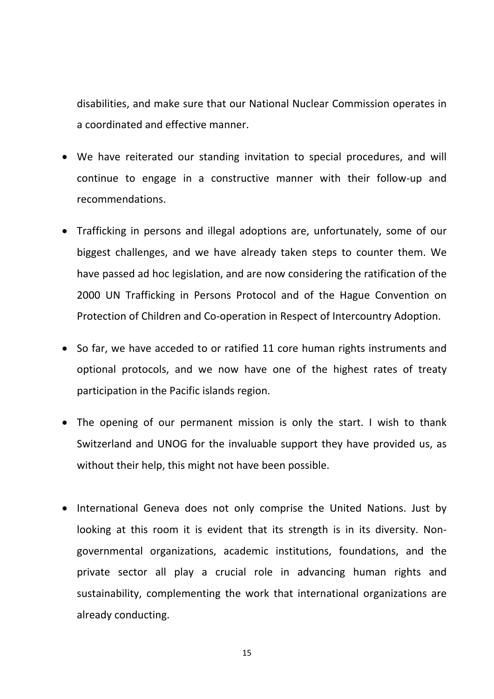disabilities, and make sure that our National Nuclear Commission operates in a coordinated and effective manner.

- We have reiterated our standing invitation to special procedures, and will continue to engage in a constructive manner with their follow‐up and recommendations.
- Trafficking in persons and illegal adoptions are, unfortunately, some of our biggest challenges, and we have already taken steps to counter them. We have passed ad hoc legislation, and are now considering the ratification of the 2000 UN Trafficking in Persons Protocol and of the Hague Convention on Protection of Children and Co‐operation in Respect of Intercountry Adoption.
- So far, we have acceded to or ratified 11 core human rights instruments and optional protocols, and we now have one of the highest rates of treaty participation in the Pacific islands region.
- The opening of our permanent mission is only the start. I wish to thank Switzerland and UNOG for the invaluable support they have provided us, as without their help, this might not have been possible.
- International Geneva does not only comprise the United Nations. Just by looking at this room it is evident that its strength is in its diversity. Nongovernmental organizations, academic institutions, foundations, and the private sector all play a crucial role in advancing human rights and sustainability, complementing the work that international organizations are already conducting.